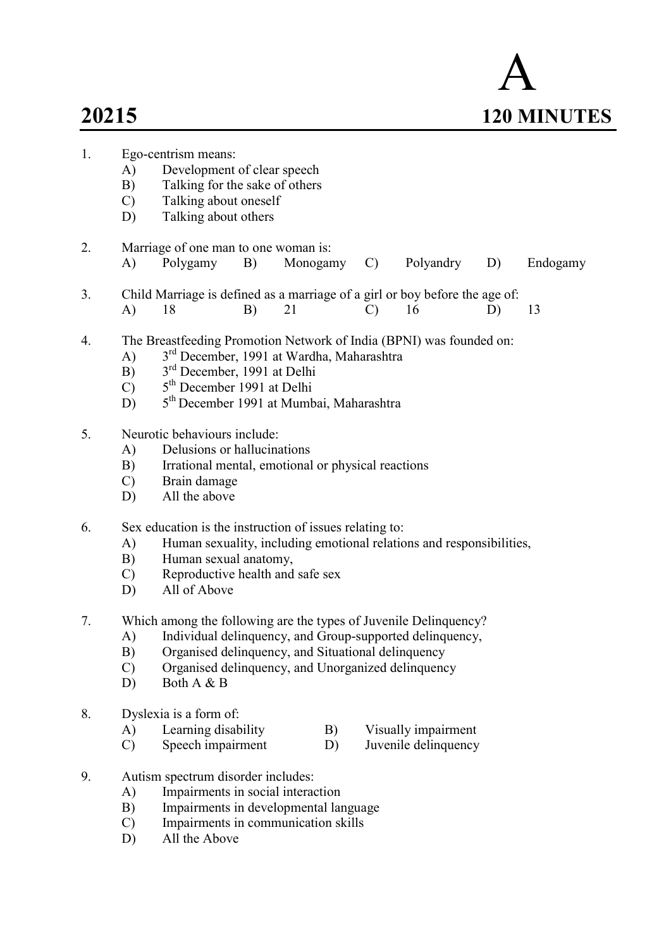$\overline{2}$ .

8.



| 1. | Ego-centrism means:                                              |                                                                                                                                 |    |          |  |               |                      |    |          |  |  |
|----|------------------------------------------------------------------|---------------------------------------------------------------------------------------------------------------------------------|----|----------|--|---------------|----------------------|----|----------|--|--|
|    | A)                                                               | Development of clear speech                                                                                                     |    |          |  |               |                      |    |          |  |  |
|    | B)                                                               | Talking for the sake of others                                                                                                  |    |          |  |               |                      |    |          |  |  |
|    | $\mathcal{C}$                                                    | Talking about oneself                                                                                                           |    |          |  |               |                      |    |          |  |  |
|    | D)                                                               | Talking about others                                                                                                            |    |          |  |               |                      |    |          |  |  |
| 2. |                                                                  | Marriage of one man to one woman is:                                                                                            |    |          |  |               |                      |    |          |  |  |
|    | A)                                                               | Polygamy                                                                                                                        | B) | Monogamy |  | $\mathcal{C}$ | Polyandry            | D) | Endogamy |  |  |
|    |                                                                  |                                                                                                                                 |    |          |  |               |                      |    |          |  |  |
| 3. | A)                                                               | Child Marriage is defined as a marriage of a girl or boy before the age of:<br>18                                               | B) | 21       |  | $\mathcal{C}$ | 16                   | D) | 13       |  |  |
|    |                                                                  |                                                                                                                                 |    |          |  |               |                      |    |          |  |  |
| 4. |                                                                  | The Breastfeeding Promotion Network of India (BPNI) was founded on:                                                             |    |          |  |               |                      |    |          |  |  |
|    | A)                                                               | 3 <sup>rd</sup> December, 1991 at Wardha, Maharashtra                                                                           |    |          |  |               |                      |    |          |  |  |
|    | B)                                                               | 3 <sup>rd</sup> December, 1991 at Delhi                                                                                         |    |          |  |               |                      |    |          |  |  |
|    | $\mathcal{C}$                                                    | 5 <sup>th</sup> December 1991 at Delhi                                                                                          |    |          |  |               |                      |    |          |  |  |
|    | 5 <sup>th</sup> December 1991 at Mumbai, Maharashtra<br>D)       |                                                                                                                                 |    |          |  |               |                      |    |          |  |  |
| 5. | Neurotic behaviours include:                                     |                                                                                                                                 |    |          |  |               |                      |    |          |  |  |
|    | A)                                                               | Delusions or hallucinations                                                                                                     |    |          |  |               |                      |    |          |  |  |
|    | B)                                                               | Irrational mental, emotional or physical reactions                                                                              |    |          |  |               |                      |    |          |  |  |
|    | $\mathcal{C}$                                                    | Brain damage                                                                                                                    |    |          |  |               |                      |    |          |  |  |
|    | D)                                                               | All the above                                                                                                                   |    |          |  |               |                      |    |          |  |  |
| 6. |                                                                  |                                                                                                                                 |    |          |  |               |                      |    |          |  |  |
|    | A)                                                               | Sex education is the instruction of issues relating to:<br>Human sexuality, including emotional relations and responsibilities, |    |          |  |               |                      |    |          |  |  |
|    | B)                                                               | Human sexual anatomy,                                                                                                           |    |          |  |               |                      |    |          |  |  |
|    | $\mathcal{C}$                                                    | Reproductive health and safe sex                                                                                                |    |          |  |               |                      |    |          |  |  |
|    | D)                                                               | All of Above                                                                                                                    |    |          |  |               |                      |    |          |  |  |
|    |                                                                  |                                                                                                                                 |    |          |  |               |                      |    |          |  |  |
| 7. | Which among the following are the types of Juvenile Delinquency? |                                                                                                                                 |    |          |  |               |                      |    |          |  |  |
|    | A)                                                               | Individual delinquency, and Group-supported delinquency,                                                                        |    |          |  |               |                      |    |          |  |  |
|    | B)                                                               | Organised delinquency, and Situational delinquency                                                                              |    |          |  |               |                      |    |          |  |  |
|    | $\mathcal{C}$                                                    | Organised delinquency, and Unorganized delinquency                                                                              |    |          |  |               |                      |    |          |  |  |
|    | D)                                                               | Both A & B                                                                                                                      |    |          |  |               |                      |    |          |  |  |
| 8. |                                                                  | Dyslexia is a form of:                                                                                                          |    |          |  |               |                      |    |          |  |  |
|    | A)                                                               | Learning disability                                                                                                             |    | B)       |  |               | Visually impairment  |    |          |  |  |
|    | $\mathcal{C}$                                                    | Speech impairment                                                                                                               |    | D)       |  |               | Juvenile delinquency |    |          |  |  |
| 9. |                                                                  | Autism spectrum disorder includes:                                                                                              |    |          |  |               |                      |    |          |  |  |
|    | A)                                                               | Impairments in social interaction                                                                                               |    |          |  |               |                      |    |          |  |  |
|    | B)                                                               | Impairments in developmental language                                                                                           |    |          |  |               |                      |    |          |  |  |
|    | $\mathcal{C}$                                                    |                                                                                                                                 |    |          |  |               |                      |    |          |  |  |
|    | Impairments in communication skills<br>All the Above<br>D)       |                                                                                                                                 |    |          |  |               |                      |    |          |  |  |
|    |                                                                  |                                                                                                                                 |    |          |  |               |                      |    |          |  |  |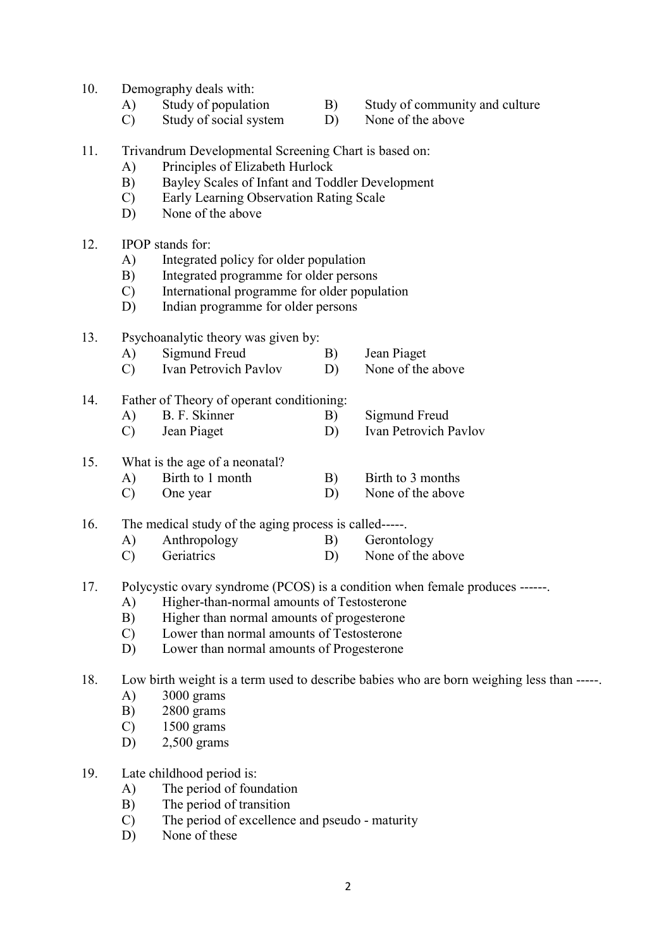- 10. Demography deals with:
	-
- 
- A) Study of population B) Study of community and culture<br>
C) Study of social system D) None of the above  $(C)$  Study of social system D)
- 11. Trivandrum Developmental Screening Chart is based on:
	- A) Principles of Elizabeth Hurlock
	- B) Bayley Scales of Infant and Toddler Development
	- C) Early Learning Observation Rating Scale
	- D) None of the above

#### 12. IPOP stands for:

- A) Integrated policy for older population
- B) Integrated programme for older persons
- C) International programme for older population
- D) Indian programme for older persons

#### 13. Psychoanalytic theory was given by:

- A) Sigmund Freud B) Jean Piaget
- C) Ivan Petrovich Pavlov D) None of the above
- 14. Father of Theory of operant conditioning:
	- A) B. F. Skinner B) Sigmund Freud
	- C) Jean Piaget D) Ivan Petrovich Pavlov

# 15. What is the age of a neonatal?

- A) Birth to 1 month B) Birth to 3 months
- C) One year D) None of the above

16. The medical study of the aging process is called-----.

- A) Anthropology B) Gerontology
- C) Geriatrics D) None of the above
- 17. Polycystic ovary syndrome (PCOS) is a condition when female produces ------.
	- A) Higher-than-normal amounts of Testosterone
	- B) Higher than normal amounts of progesterone
	- C) Lower than normal amounts of Testosterone
	- D) Lower than normal amounts of Progesterone

18. Low birth weight is a term used to describe babies who are born weighing less than -----.

- A) 3000 grams
- B) 2800 grams
- C) 1500 grams
- D) 2,500 grams
- 19. Late childhood period is:
	- A) The period of foundation
	- B) The period of transition
	- C) The period of excellence and pseudo maturity
	- D) None of these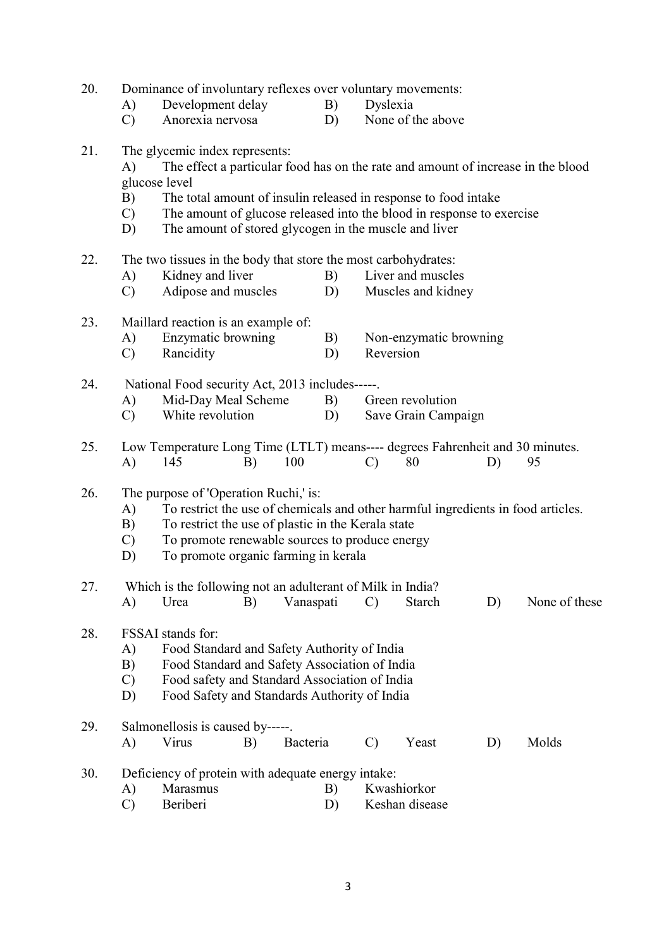20. Dominance of involuntary reflexes over voluntary movements:

- A) Development delay B) Dyslexia<br>
C) Anorexia nervosa D) None of t
- C) Anorexia nervosa D) None of the above

# 21. The glycemic index represents:

- A) The effect a particular food has on the rate and amount of increase in the blood glucose level
- B) The total amount of insulin released in response to food intake
- C) The amount of glucose released into the blood in response to exercise
- D) The amount of stored glycogen in the muscle and liver
- 22. The two tissues in the body that store the most carbohydrates:
	- A) Kidney and liver B) Liver and muscles
	- C) Adipose and muscles D) Muscles and kidney

# 23. Maillard reaction is an example of:

- A) Enzymatic browning B) Non-enzymatic browning
- C) Rancidity D) Reversion

24. National Food security Act, 2013 includes-----.

- A) Mid-Day Meal Scheme B) Green revolution
- C) White revolution D) Save Grain Campaign
- 25. Low Temperature Long Time (LTLT) means---- degrees Fahrenheit and 30 minutes. A) 145 B) 100 C) 80 D) 95

#### 26. The purpose of 'Operation Ruchi,' is:

- A) To restrict the use of chemicals and other harmful ingredients in food articles.
- B) To restrict the use of plastic in the Kerala state
- C) To promote renewable sources to produce energy
- D) To promote organic farming in kerala

# 27. Which is the following not an adulterant of Milk in India? A) Urea B) Vanaspati C) Starch D) None of these

# 28. FSSAI stands for:

- A) Food Standard and Safety Authority of India
- B) Food Standard and Safety Association of India
- C) Food safety and Standard Association of India
- D) Food Safety and Standards Authority of India

# 29. Salmonellosis is caused by-----.

A) Virus B) Bacteria C) Yeast D) Molds

# 30. Deficiency of protein with adequate energy intake:

- A) Marasmus B) Kwashiorkor
- C) Beriberi D) Keshan disease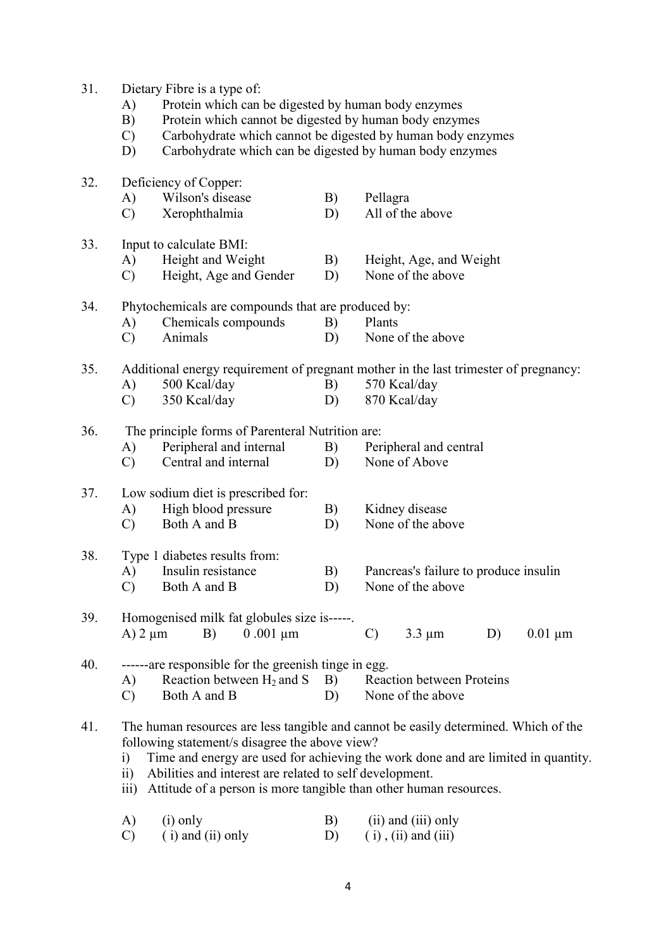| 31. | Dietary Fibre is a type of:                                                                                                      |                                                             |                |                                                                                     |  |  |  |  |  |  |
|-----|----------------------------------------------------------------------------------------------------------------------------------|-------------------------------------------------------------|----------------|-------------------------------------------------------------------------------------|--|--|--|--|--|--|
|     | Protein which can be digested by human body enzymes<br>A)                                                                        |                                                             |                |                                                                                     |  |  |  |  |  |  |
|     | B)                                                                                                                               | Protein which cannot be digested by human body enzymes      |                |                                                                                     |  |  |  |  |  |  |
|     | $\mathcal{C}$                                                                                                                    | Carbohydrate which cannot be digested by human body enzymes |                |                                                                                     |  |  |  |  |  |  |
|     | D)                                                                                                                               | Carbohydrate which can be digested by human body enzymes    |                |                                                                                     |  |  |  |  |  |  |
|     |                                                                                                                                  |                                                             |                |                                                                                     |  |  |  |  |  |  |
| 32. | Deficiency of Copper:                                                                                                            |                                                             |                |                                                                                     |  |  |  |  |  |  |
|     | A)                                                                                                                               | Wilson's disease                                            | Pellagra<br>B) |                                                                                     |  |  |  |  |  |  |
|     | $\mathcal{C}$                                                                                                                    | Xerophthalmia                                               | D)             | All of the above                                                                    |  |  |  |  |  |  |
|     |                                                                                                                                  |                                                             |                |                                                                                     |  |  |  |  |  |  |
| 33. |                                                                                                                                  | Input to calculate BMI:                                     |                |                                                                                     |  |  |  |  |  |  |
|     | A)                                                                                                                               | Height and Weight                                           | B)             | Height, Age, and Weight                                                             |  |  |  |  |  |  |
|     | $\mathcal{C}$                                                                                                                    | Height, Age and Gender                                      | D)             | None of the above                                                                   |  |  |  |  |  |  |
|     |                                                                                                                                  |                                                             |                |                                                                                     |  |  |  |  |  |  |
| 34. | Phytochemicals are compounds that are produced by:                                                                               |                                                             |                |                                                                                     |  |  |  |  |  |  |
|     | A)                                                                                                                               | Chemicals compounds                                         | B)             | Plants                                                                              |  |  |  |  |  |  |
|     | $\mathcal{C}$                                                                                                                    | Animals                                                     | D)             | None of the above                                                                   |  |  |  |  |  |  |
|     |                                                                                                                                  |                                                             |                |                                                                                     |  |  |  |  |  |  |
| 35. |                                                                                                                                  |                                                             |                |                                                                                     |  |  |  |  |  |  |
|     | Additional energy requirement of pregnant mother in the last trimester of pregnancy:<br>500 Kcal/day<br>570 Kcal/day<br>A)<br>B) |                                                             |                |                                                                                     |  |  |  |  |  |  |
|     | $\mathcal{C}$                                                                                                                    | 350 Kcal/day                                                | D)             | 870 Kcal/day                                                                        |  |  |  |  |  |  |
|     |                                                                                                                                  |                                                             |                |                                                                                     |  |  |  |  |  |  |
| 36. |                                                                                                                                  | The principle forms of Parenteral Nutrition are:            |                |                                                                                     |  |  |  |  |  |  |
|     | A)                                                                                                                               | Peripheral and internal                                     | B)             | Peripheral and central                                                              |  |  |  |  |  |  |
|     | $\mathcal{C}$                                                                                                                    | Central and internal                                        | D)             | None of Above                                                                       |  |  |  |  |  |  |
|     |                                                                                                                                  |                                                             |                |                                                                                     |  |  |  |  |  |  |
| 37. |                                                                                                                                  | Low sodium diet is prescribed for:                          |                |                                                                                     |  |  |  |  |  |  |
|     | A)                                                                                                                               | High blood pressure                                         | B)             | Kidney disease                                                                      |  |  |  |  |  |  |
|     | $\mathcal{C}$                                                                                                                    | Both A and B                                                | D)             | None of the above                                                                   |  |  |  |  |  |  |
|     |                                                                                                                                  |                                                             |                |                                                                                     |  |  |  |  |  |  |
| 38. |                                                                                                                                  | Type 1 diabetes results from:                               |                |                                                                                     |  |  |  |  |  |  |
|     | A)                                                                                                                               | Insulin resistance                                          | B)             | Pancreas's failure to produce insulin                                               |  |  |  |  |  |  |
|     | $\mathcal{C}$                                                                                                                    | Both A and B                                                | D)             | None of the above                                                                   |  |  |  |  |  |  |
|     |                                                                                                                                  |                                                             |                |                                                                                     |  |  |  |  |  |  |
| 39. |                                                                                                                                  | Homogenised milk fat globules size is-----.                 |                |                                                                                     |  |  |  |  |  |  |
|     | $A$ ) 2 $\mu$ m                                                                                                                  | $0.001 \mu m$<br>B)                                         |                | $3.3 \mu m$<br>$\mathcal{C}$<br>D)<br>$0.01 \mu m$                                  |  |  |  |  |  |  |
|     |                                                                                                                                  |                                                             |                |                                                                                     |  |  |  |  |  |  |
| 40. |                                                                                                                                  | ------are responsible for the greenish tinge in egg.        |                |                                                                                     |  |  |  |  |  |  |
|     | A)                                                                                                                               | Reaction between $H_2$ and S                                | B)             | <b>Reaction between Proteins</b>                                                    |  |  |  |  |  |  |
|     |                                                                                                                                  | Both A and B                                                |                | None of the above                                                                   |  |  |  |  |  |  |
|     | $\mathcal{C}$                                                                                                                    |                                                             | D)             |                                                                                     |  |  |  |  |  |  |
| 41. |                                                                                                                                  |                                                             |                | The human resources are less tangible and cannot be easily determined. Which of the |  |  |  |  |  |  |
|     |                                                                                                                                  | following statement/s disagree the above view?              |                |                                                                                     |  |  |  |  |  |  |
|     |                                                                                                                                  |                                                             |                | Time and energy are used for achieving the work done and are limited in quantity.   |  |  |  |  |  |  |
|     | i)                                                                                                                               |                                                             |                |                                                                                     |  |  |  |  |  |  |
|     | $\ddot{\mathbf{i}}$                                                                                                              | Abilities and interest are related to self development.     |                |                                                                                     |  |  |  |  |  |  |
|     | Attitude of a person is more tangible than other human resources.<br>$\overline{111}$ )                                          |                                                             |                |                                                                                     |  |  |  |  |  |  |
|     | $(i)$ only<br>$(ii)$ and $(iii)$ only                                                                                            |                                                             |                |                                                                                     |  |  |  |  |  |  |
|     | A)                                                                                                                               |                                                             | B)             |                                                                                     |  |  |  |  |  |  |
|     | $\mathcal{C}$                                                                                                                    | $(i)$ and $(ii)$ only                                       | D)             | $(i)$ , $(ii)$ and $(iii)$                                                          |  |  |  |  |  |  |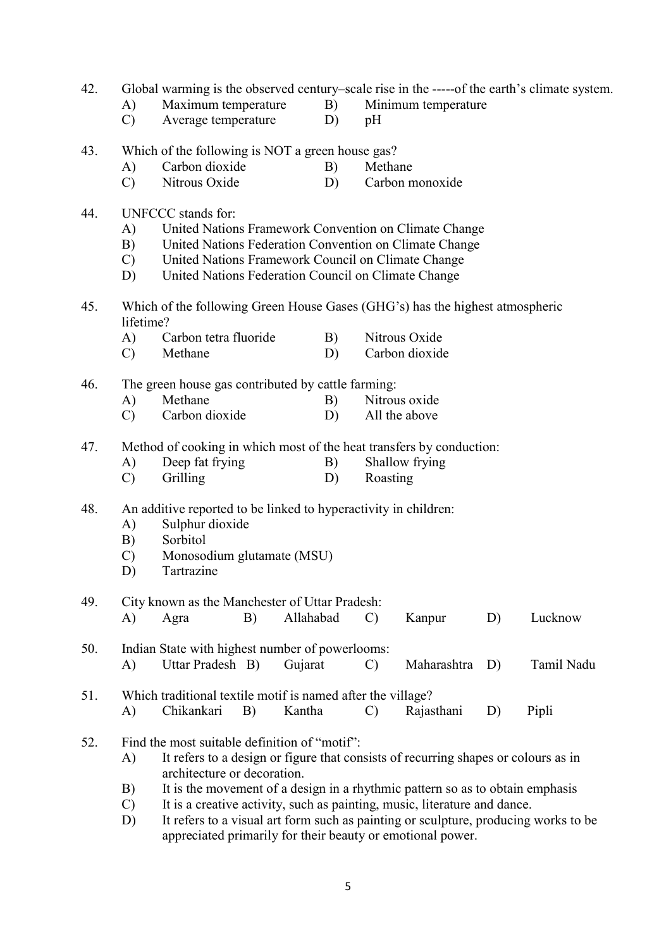| 42. | Global warming is the observed century-scale rise in the -----of the earth's climate system. |                                                                      |    |           |    |               |                                                                                     |    |            |  |  |  |
|-----|----------------------------------------------------------------------------------------------|----------------------------------------------------------------------|----|-----------|----|---------------|-------------------------------------------------------------------------------------|----|------------|--|--|--|
|     | A)                                                                                           | Maximum temperature                                                  |    | B)        |    |               | Minimum temperature                                                                 |    |            |  |  |  |
|     | $\mathcal{C}$                                                                                | Average temperature                                                  |    | D)        |    | pH            |                                                                                     |    |            |  |  |  |
| 43. |                                                                                              | Which of the following is NOT a green house gas?                     |    |           |    |               |                                                                                     |    |            |  |  |  |
|     | A)                                                                                           | Carbon dioxide                                                       |    | B)        |    | Methane       |                                                                                     |    |            |  |  |  |
|     | $\mathcal{C}$                                                                                | Nitrous Oxide                                                        |    | D)        |    |               | Carbon monoxide                                                                     |    |            |  |  |  |
| 44. | UNFCCC stands for:                                                                           |                                                                      |    |           |    |               |                                                                                     |    |            |  |  |  |
|     | A)                                                                                           |                                                                      |    |           |    |               | United Nations Framework Convention on Climate Change                               |    |            |  |  |  |
|     | B)                                                                                           | United Nations Federation Convention on Climate Change               |    |           |    |               |                                                                                     |    |            |  |  |  |
|     | $\mathbf{C}$                                                                                 | United Nations Framework Council on Climate Change                   |    |           |    |               |                                                                                     |    |            |  |  |  |
|     | United Nations Federation Council on Climate Change<br>D)                                    |                                                                      |    |           |    |               |                                                                                     |    |            |  |  |  |
| 45. | Which of the following Green House Gases (GHG's) has the highest atmospheric<br>lifetime?    |                                                                      |    |           |    |               |                                                                                     |    |            |  |  |  |
|     | A)                                                                                           | Carbon tetra fluoride                                                |    |           | B) |               | Nitrous Oxide                                                                       |    |            |  |  |  |
|     | $\mathcal{C}$                                                                                | Methane                                                              |    |           | D) |               | Carbon dioxide                                                                      |    |            |  |  |  |
|     |                                                                                              |                                                                      |    |           |    |               |                                                                                     |    |            |  |  |  |
| 46. |                                                                                              | The green house gas contributed by cattle farming:<br>Methane        |    |           |    | Nitrous oxide |                                                                                     |    |            |  |  |  |
|     | A)                                                                                           | Carbon dioxide                                                       |    | B)        |    |               |                                                                                     |    |            |  |  |  |
|     | $\mathcal{C}$                                                                                |                                                                      |    | D)        |    |               | All the above                                                                       |    |            |  |  |  |
| 47. |                                                                                              | Method of cooking in which most of the heat transfers by conduction: |    |           |    |               |                                                                                     |    |            |  |  |  |
|     | A)                                                                                           | Deep fat frying                                                      |    | B)        |    |               | Shallow frying                                                                      |    |            |  |  |  |
|     | $\mathcal{C}$                                                                                | Grilling                                                             |    |           | D) | Roasting      |                                                                                     |    |            |  |  |  |
| 48. | An additive reported to be linked to hyperactivity in children:                              |                                                                      |    |           |    |               |                                                                                     |    |            |  |  |  |
|     | A)                                                                                           | Sulphur dioxide                                                      |    |           |    |               |                                                                                     |    |            |  |  |  |
|     | B)                                                                                           | Sorbitol                                                             |    |           |    |               |                                                                                     |    |            |  |  |  |
|     | C)                                                                                           | Monosodium glutamate (MSU)                                           |    |           |    |               |                                                                                     |    |            |  |  |  |
|     | D)                                                                                           | Tartrazine                                                           |    |           |    |               |                                                                                     |    |            |  |  |  |
| 49. |                                                                                              | City known as the Manchester of Uttar Pradesh:                       |    |           |    |               |                                                                                     |    |            |  |  |  |
|     | A)                                                                                           | Agra                                                                 | B) | Allahabad |    | $\mathcal{C}$ | Kanpur                                                                              | D) | Lucknow    |  |  |  |
| 50. |                                                                                              | Indian State with highest number of powerlooms:                      |    |           |    |               |                                                                                     |    |            |  |  |  |
|     | A)                                                                                           | Uttar Pradesh B)                                                     |    | Gujarat   |    | $\mathcal{C}$ | Maharashtra                                                                         | D) | Tamil Nadu |  |  |  |
| 51. |                                                                                              | Which traditional textile motif is named after the village?          |    |           |    |               |                                                                                     |    |            |  |  |  |
|     | A)                                                                                           | Chikankari                                                           | B) | Kantha    |    | $\mathcal{C}$ | Rajasthani                                                                          | D) | Pipli      |  |  |  |
| 52. |                                                                                              | Find the most suitable definition of "motif":                        |    |           |    |               |                                                                                     |    |            |  |  |  |
|     | A)                                                                                           |                                                                      |    |           |    |               | It refers to a design or figure that consists of recurring shapes or colours as in  |    |            |  |  |  |
|     |                                                                                              | architecture or decoration.                                          |    |           |    |               |                                                                                     |    |            |  |  |  |
|     | B)                                                                                           |                                                                      |    |           |    |               | It is the movement of a design in a rhythmic pattern so as to obtain emphasis       |    |            |  |  |  |
|     | $\mathcal{C}$                                                                                |                                                                      |    |           |    |               | It is a creative activity, such as painting, music, literature and dance.           |    |            |  |  |  |
|     | D)                                                                                           |                                                                      |    |           |    |               | It refers to a visual art form such as painting or sculpture, producing works to be |    |            |  |  |  |

5

appreciated primarily for their beauty or emotional power.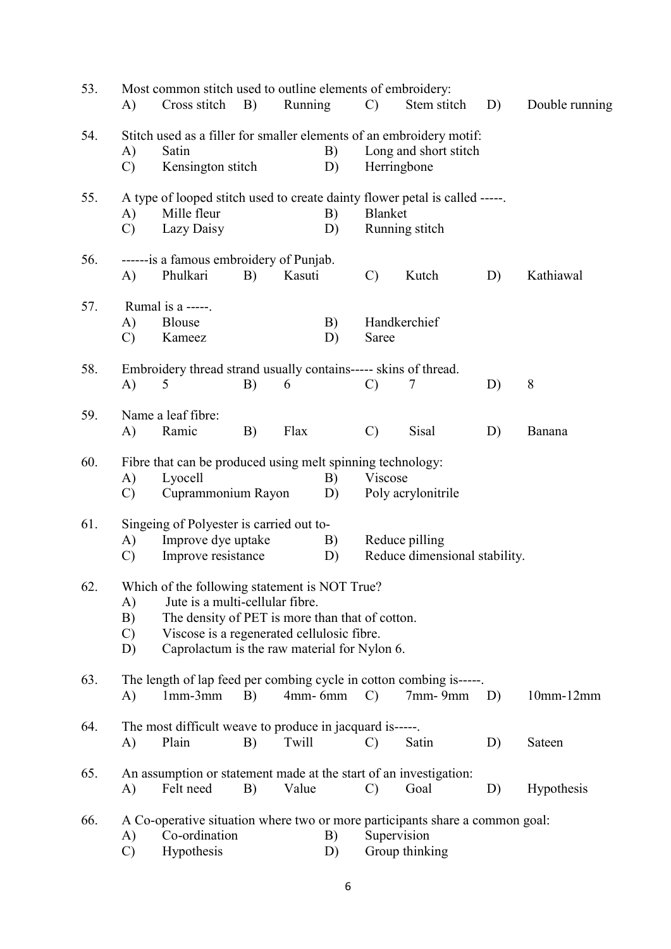| 53. | A)                              | Cross stitch                                                                                                                                                                                                                      | <b>B</b> )                                                                              | Most common stitch used to outline elements of embroidery:<br>Running<br>$\mathcal{C}$<br>Stem stitch<br>D) |                                      |                                                 |                    | Double running |             |
|-----|---------------------------------|-----------------------------------------------------------------------------------------------------------------------------------------------------------------------------------------------------------------------------------|-----------------------------------------------------------------------------------------|-------------------------------------------------------------------------------------------------------------|--------------------------------------|-------------------------------------------------|--------------------|----------------|-------------|
| 54. | A)<br>$\mathcal{C}$             | Stitch used as a filler for smaller elements of an embroidery motif:<br>B)<br>Satin<br>Kensington stitch<br>D)                                                                                                                    |                                                                                         |                                                                                                             | Long and short stitch<br>Herringbone |                                                 |                    |                |             |
| 55. | A)<br>$\mathcal{C}$             | Mille fleur<br>Lazy Daisy                                                                                                                                                                                                         | A type of looped stitch used to create dainty flower petal is called -----.<br>B)<br>D) |                                                                                                             | Blanket<br>Running stitch            |                                                 |                    |                |             |
| 56. | A)                              | ------is a famous embroidery of Punjab.<br>Phulkari                                                                                                                                                                               | B)                                                                                      | Kasuti                                                                                                      |                                      | $\mathcal{C}$                                   | Kutch              | D)             | Kathiawal   |
| 57. | A)<br>$\mathcal{C}$             | Rumal is a -----.<br>B)<br><b>Blouse</b><br>Kameez<br>D)                                                                                                                                                                          |                                                                                         |                                                                                                             | Handkerchief<br>Saree                |                                                 |                    |                |             |
| 58. | A)                              | Embroidery thread strand usually contains----- skins of thread.<br>5                                                                                                                                                              | B)                                                                                      | 6                                                                                                           |                                      | $\mathcal{C}$                                   | 7                  | D)             | 8           |
| 59. | A)                              | Name a leaf fibre:<br>Ramic                                                                                                                                                                                                       | B)                                                                                      | Flax                                                                                                        |                                      | $\mathcal{C}$                                   | <b>Sisal</b>       | D)             | Banana      |
| 60. | A)<br>$\mathcal{C}$             | Fibre that can be produced using melt spinning technology:<br>Lyocell<br>B)<br>Cuprammonium Rayon<br>D)                                                                                                                           |                                                                                         |                                                                                                             |                                      | Viscose                                         | Poly acrylonitrile |                |             |
| 61. | A)<br>$\mathcal{C}$             | Singeing of Polyester is carried out to-<br>Improve dye uptake<br>Improve resistance                                                                                                                                              |                                                                                         |                                                                                                             | B)<br>D)                             | Reduce pilling<br>Reduce dimensional stability. |                    |                |             |
| 62. | A)<br>B)<br>$\mathcal{C}$<br>D) | Which of the following statement is NOT True?<br>Jute is a multi-cellular fibre.<br>The density of PET is more than that of cotton.<br>Viscose is a regenerated cellulosic fibre.<br>Caprolactum is the raw material for Nylon 6. |                                                                                         |                                                                                                             |                                      |                                                 |                    |                |             |
| 63. | A)                              | The length of lap feed per combing cycle in cotton combing is-----<br>$1mm-3mm$                                                                                                                                                   | B)                                                                                      | $4$ mm - 6mm                                                                                                |                                      | $\mathcal{C}$                                   | $7$ mm- $9$ mm     | D)             | $10mm-12mm$ |
| 64. | A)                              | The most difficult weave to produce in jacquard is-----.<br>Plain                                                                                                                                                                 | B)                                                                                      | Twill                                                                                                       |                                      | $\mathcal{C}$                                   | Satin              | D)             | Sateen      |
| 65. | A)                              | An assumption or statement made at the start of an investigation:<br>Felt need                                                                                                                                                    | B)                                                                                      | Value                                                                                                       |                                      | $\mathcal{C}$                                   | Goal               | D)             | Hypothesis  |
| 66. | A)<br>$\mathcal{C}$             | A Co-operative situation where two or more participants share a common goal:<br>Co-ordination<br>Hypothesis                                                                                                                       |                                                                                         |                                                                                                             | B)<br>D)                             | Supervision                                     | Group thinking     |                |             |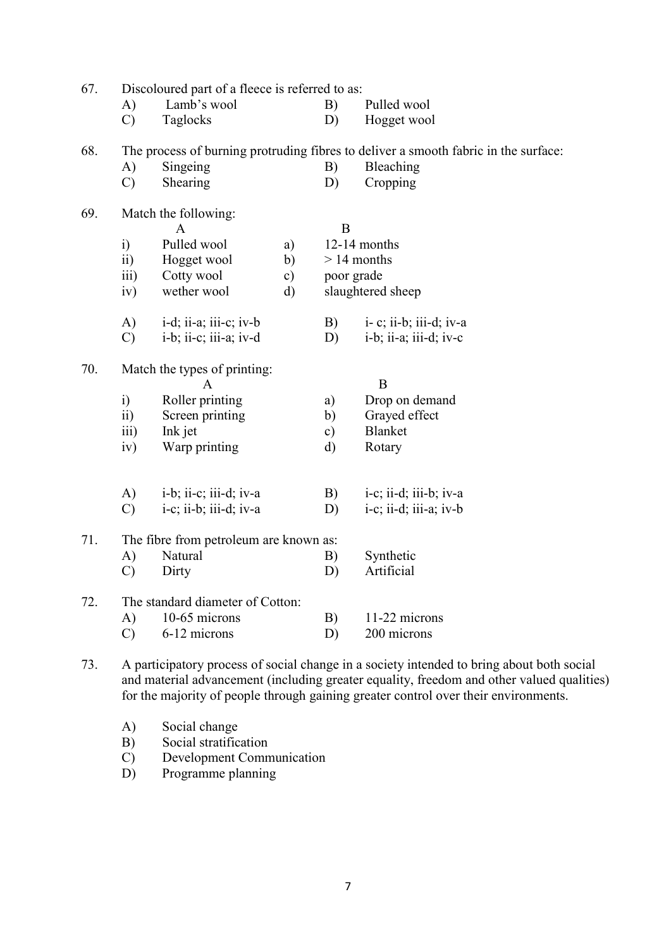| 67. | Discoloured part of a fleece is referred to as: |                                                         |    |               |                                                                                     |  |
|-----|-------------------------------------------------|---------------------------------------------------------|----|---------------|-------------------------------------------------------------------------------------|--|
|     | A)                                              | Lamb's wool                                             |    | B)            | Pulled wool                                                                         |  |
|     | $\mathcal{C}$                                   | Taglocks                                                |    | D)            | Hogget wool                                                                         |  |
| 68. |                                                 |                                                         |    |               | The process of burning protruding fibres to deliver a smooth fabric in the surface: |  |
|     | A)                                              | Singeing                                                |    | B)            | Bleaching                                                                           |  |
|     | $\mathcal{C}$                                   | Shearing                                                |    | D)            | Cropping                                                                            |  |
| 69. |                                                 | Match the following:<br>A                               |    | B             |                                                                                     |  |
|     | $\ddot{i}$                                      | Pulled wool                                             | a) |               | 12-14 months                                                                        |  |
|     | $\overline{ii}$ )                               | Hogget wool                                             | b) | $> 14$ months |                                                                                     |  |
|     | $\overline{\text{iii}}$                         | Cotty wool                                              | c) | poor grade    |                                                                                     |  |
|     | iv)                                             | wether wool                                             | d) |               | slaughtered sheep                                                                   |  |
|     | A)                                              | $i-d; ii-a; iii-c; iv-b$                                |    | B)            | i- c; ii-b; iii-d; iv-a                                                             |  |
|     | $\mathcal{C}$                                   | i-b; ii-c; iii-a; iv-d                                  |    | D)            | i-b; ii-a; iii-d; iv-c                                                              |  |
| 70. |                                                 | Match the types of printing:                            |    |               |                                                                                     |  |
|     |                                                 | $\mathbf{A}$                                            |    |               | B                                                                                   |  |
|     | $\ddot{i}$                                      | Roller printing                                         |    | a)            | Drop on demand                                                                      |  |
|     | $\overline{ii}$                                 | Screen printing                                         |    | b)            | Grayed effect                                                                       |  |
|     | iii)                                            | Ink jet                                                 |    | $\mathbf{c})$ | <b>Blanket</b>                                                                      |  |
|     | iv)                                             | Warp printing                                           |    | $\mathbf{d}$  | Rotary                                                                              |  |
|     |                                                 |                                                         |    |               |                                                                                     |  |
|     | A)                                              | i-b; ii-c; iii-d; iv-a                                  |    | B)            | $i-c$ ; $i$ <i>i</i> -d; $i$ <i>ii</i> -b; $iv-a$                                   |  |
|     | $\mathcal{C}$                                   | $i-c$ ; $i\overline{i}$ -b; $i\overline{i}$ -d; $iv$ -a |    | D)            | $i-c$ ; ii-d; iii-a; iv-b                                                           |  |
| 71. |                                                 | The fibre from petroleum are known as:                  |    |               |                                                                                     |  |
|     | A)                                              | Natural                                                 |    | B)            | Synthetic                                                                           |  |
|     | $\mathcal{C}$                                   | Dirty                                                   |    | D)            | Artificial                                                                          |  |
| 72. |                                                 | The standard diameter of Cotton:                        |    |               |                                                                                     |  |
|     | A)                                              | 10-65 microns                                           |    | B)            | 11-22 microns                                                                       |  |
|     | $\mathcal{C}$                                   | 6-12 microns                                            |    | D)            | 200 microns                                                                         |  |
|     |                                                 |                                                         |    |               |                                                                                     |  |

- 73. A participatory process of social change in a society intended to bring about both social and material advancement (including greater equality, freedom and other valued qualities) for the majority of people through gaining greater control over their environments.
	- A) Social change
	- B) Social stratification
	- C) Development Communication<br>D) Programme planning
	- Programme planning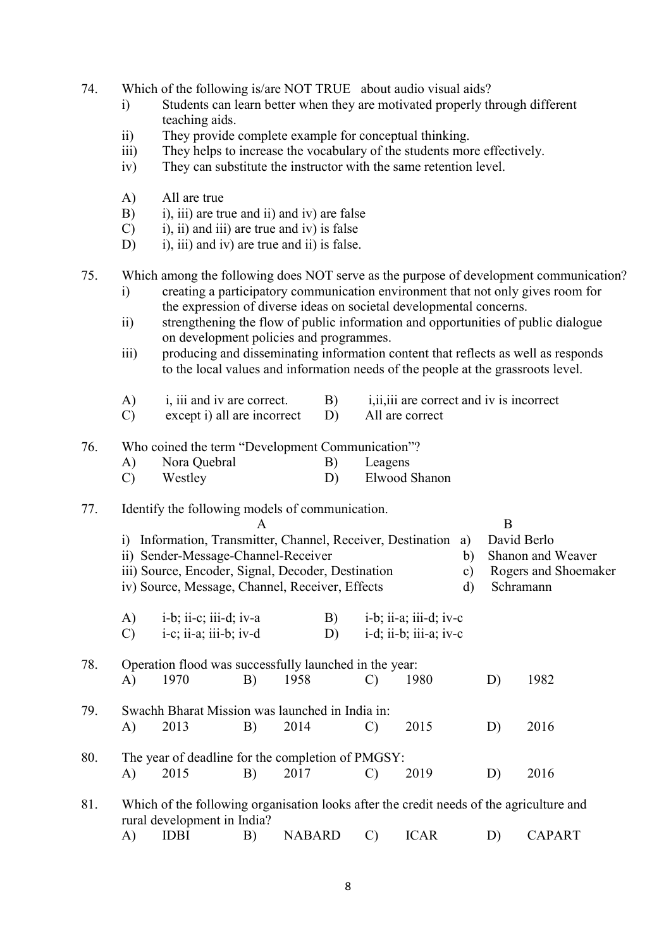- 74. Which of the following is/are NOT TRUE about audio visual aids?
	- i) Students can learn better when they are motivated properly through different teaching aids.
	- ii) They provide complete example for conceptual thinking.
	- iii) They helps to increase the vocabulary of the students more effectively.
	- iv) They can substitute the instructor with the same retention level.
	- A) All are true
	- B) i), iii) are true and ii) and iv) are false
	- $(C)$  i), ii) and iii) are true and iv) is false
	- D) i), iii) and iv) are true and ii) is false.
- 75. Which among the following does NOT serve as the purpose of development communication?
	- i) creating a participatory communication environment that not only gives room for the expression of diverse ideas on societal developmental concerns.
	- ii) strengthening the flow of public information and opportunities of public dialogue on development policies and programmes.
	- iii) producing and disseminating information content that reflects as well as responds to the local values and information needs of the people at the grassroots level.

|  | 1, 111 and 1y are correct. |  | 1.11.111 are correct and <u>IV</u> is incorrect |
|--|----------------------------|--|-------------------------------------------------|
|--|----------------------------|--|-------------------------------------------------|

C) except i) all are incorrect D) All are correct

# 76. Who coined the term "Development Communication"?

| A) | Nora Quebral | Leagens       |
|----|--------------|---------------|
|    | Westley      | Elwood Shanon |

# 77. Identify the following models of communication.

|     | A                                                                                                                                                                                                              |                                                                                         |    |                                                                |               |                                                                                                          |  |                                                                       | B             |  |  |
|-----|----------------------------------------------------------------------------------------------------------------------------------------------------------------------------------------------------------------|-----------------------------------------------------------------------------------------|----|----------------------------------------------------------------|---------------|----------------------------------------------------------------------------------------------------------|--|-----------------------------------------------------------------------|---------------|--|--|
|     | Information, Transmitter, Channel, Receiver, Destination<br>1)<br>ii) Sender-Message-Channel-Receiver<br>iii) Source, Encoder, Signal, Decoder, Destination<br>iv) Source, Message, Channel, Receiver, Effects |                                                                                         |    |                                                                |               |                                                                                                          |  | David Berlo<br>Shanon and Weaver<br>Rogers and Shoemaker<br>Schramann |               |  |  |
|     | A)<br>$\mathcal{C}$                                                                                                                                                                                            | $i-b$ ; ii-c; iii-d; iv-a<br>i-c; ii-a; iii-b; iv-d                                     |    | B)<br>D)                                                       |               | $i-b$ ; $i\overline{i}$ -a; $i\overline{i}i$ -d; $i\overline{v}$ -c<br>$i-d$ ; $ii-b$ ; $iii-a$ ; $iv-c$ |  |                                                                       |               |  |  |
| 78. | A)                                                                                                                                                                                                             | 1970                                                                                    | B) | Operation flood was successfully launched in the year:<br>1958 | $\mathcal{C}$ | 1980                                                                                                     |  | D)                                                                    | 1982          |  |  |
| 79. | A)                                                                                                                                                                                                             | 2013                                                                                    | B) | Swachh Bharat Mission was launched in India in:<br>2014        | $\mathcal{C}$ | 2015                                                                                                     |  | D)                                                                    | 2016          |  |  |
| 80. | A)                                                                                                                                                                                                             | 2015                                                                                    | B) | The year of deadline for the completion of PMGSY:<br>2017      | $\mathcal{C}$ | 2019                                                                                                     |  | D)                                                                    | 2016          |  |  |
| 81. |                                                                                                                                                                                                                | Which of the following organisation looks after the credit needs of the agriculture and |    |                                                                |               |                                                                                                          |  |                                                                       |               |  |  |
|     | A)                                                                                                                                                                                                             | rural development in India?<br><b>IDBI</b>                                              | B) | <b>NABARD</b>                                                  | $\mathcal{C}$ | <b>ICAR</b>                                                                                              |  | D)                                                                    | <b>CAPART</b> |  |  |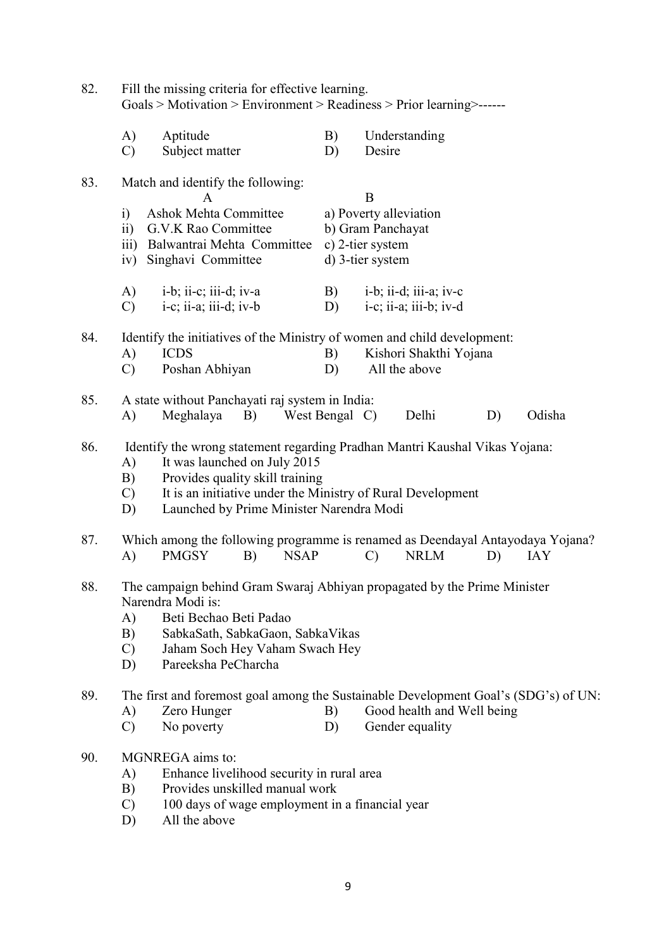| 82. | Fill the missing criteria for effective learning.<br>Goals > Motivation > Environment > Readiness > Prior learning >------                                                                             |                                                                                                                                                                                                                                                           |    |             |                                                  |               |                                                  |    |            |  |
|-----|--------------------------------------------------------------------------------------------------------------------------------------------------------------------------------------------------------|-----------------------------------------------------------------------------------------------------------------------------------------------------------------------------------------------------------------------------------------------------------|----|-------------|--------------------------------------------------|---------------|--------------------------------------------------|----|------------|--|
|     | A)<br>$\mathcal{C}$                                                                                                                                                                                    | Aptitude<br>Subject matter                                                                                                                                                                                                                                |    |             | B)<br>D)                                         | Desire        | Understanding                                    |    |            |  |
| 83. | i)<br>$\ddot{\mathbf{i}}$                                                                                                                                                                              | Match and identify the following:<br>A<br><b>Ashok Mehta Committee</b><br>G.V.K Rao Committee                                                                                                                                                             |    |             | B<br>a) Poverty alleviation<br>b) Gram Panchayat |               |                                                  |    |            |  |
|     | $\overline{111}$ )<br>iv)                                                                                                                                                                              | Balwantrai Mehta Committee<br>Singhavi Committee                                                                                                                                                                                                          |    |             | c) 2-tier system<br>d) 3-tier system             |               |                                                  |    |            |  |
|     | A)<br>$\mathcal{C}$                                                                                                                                                                                    | $i-b$ ; ii-c; iii-d; iv-a<br>$i-c$ ; ii-a; iii-d; iv-b                                                                                                                                                                                                    |    |             | B)<br>D)                                         |               | i-b; ii-d; iii-a; iv-c<br>i-c; ii-a; iii-b; iv-d |    |            |  |
| 84. | A)<br>$\mathcal{C}$                                                                                                                                                                                    | Identify the initiatives of the Ministry of women and child development:<br><b>ICDS</b><br>Poshan Abhiyan                                                                                                                                                 |    |             | B)<br>D)                                         |               | Kishori Shakthi Yojana<br>All the above          |    |            |  |
| 85. | $\bf{A}$                                                                                                                                                                                               | A state without Panchayati raj system in India:<br>Meghalaya                                                                                                                                                                                              | B) |             | West Bengal C)                                   |               | Delhi                                            | D) | Odisha     |  |
| 86. | A)<br>B)<br>$\mathcal{C}$<br>D)                                                                                                                                                                        | Identify the wrong statement regarding Pradhan Mantri Kaushal Vikas Yojana:<br>It was launched on July 2015<br>Provides quality skill training<br>It is an initiative under the Ministry of Rural Development<br>Launched by Prime Minister Narendra Modi |    |             |                                                  |               |                                                  |    |            |  |
| 87. | A)                                                                                                                                                                                                     | Which among the following programme is renamed as Deendayal Antayodaya Yojana?<br><b>PMGSY</b>                                                                                                                                                            | B) | <b>NSAP</b> |                                                  | $\mathcal{C}$ | <b>NRLM</b>                                      | D) | <b>IAY</b> |  |
| 88. | A)<br>B)<br>$\mathcal{C}$<br>D)                                                                                                                                                                        | The campaign behind Gram Swaraj Abhiyan propagated by the Prime Minister<br>Narendra Modi is:<br>Beti Bechao Beti Padao<br>SabkaSath, SabkaGaon, SabkaVikas<br>Jaham Soch Hey Vaham Swach Hey<br>Pareeksha PeCharcha                                      |    |             |                                                  |               |                                                  |    |            |  |
| 89. | A)<br>$\mathcal{C}$                                                                                                                                                                                    | The first and foremost goal among the Sustainable Development Goal's (SDG's) of UN:<br>Zero Hunger<br>No poverty                                                                                                                                          |    |             | B)<br>D)                                         |               | Good health and Well being<br>Gender equality    |    |            |  |
| 90. | MGNREGA aims to:<br>Enhance livelihood security in rural area<br>A)<br>Provides unskilled manual work<br>B)<br>100 days of wage employment in a financial year<br>$\mathcal{C}$<br>All the above<br>D) |                                                                                                                                                                                                                                                           |    |             |                                                  |               |                                                  |    |            |  |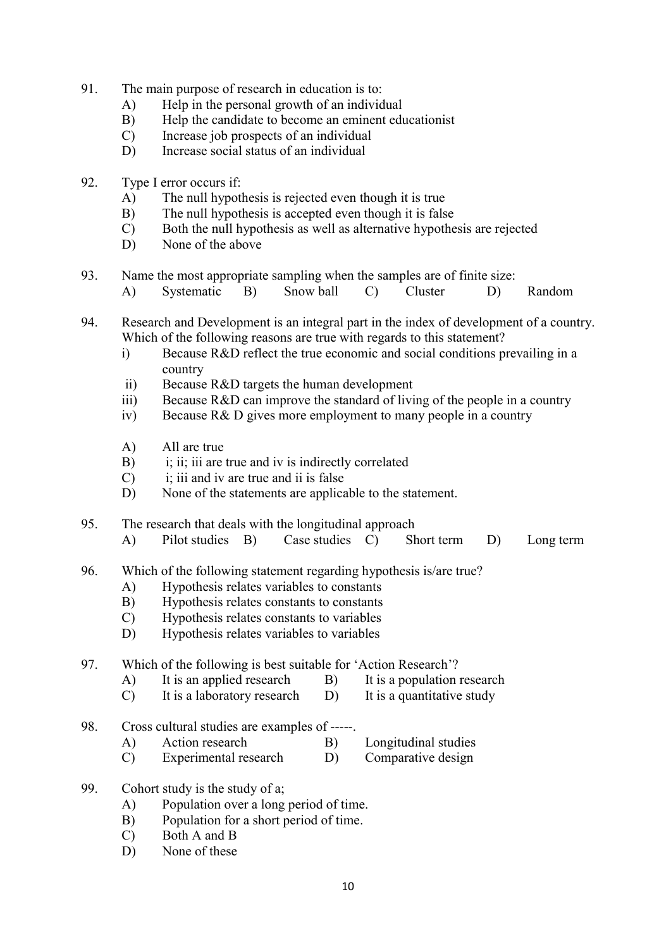- 91. The main purpose of research in education is to:
	- A) Help in the personal growth of an individual
	- B) Help the candidate to become an eminent educationist
	- C) Increase job prospects of an individual
	- D) Increase social status of an individual
- 92. Type I error occurs if:
	- A) The null hypothesis is rejected even though it is true
	- B) The null hypothesis is accepted even though it is false
	- C) Both the null hypothesis as well as alternative hypothesis are rejected
	- D) None of the above
- 93. Name the most appropriate sampling when the samples are of finite size:
	- A) Systematic B) Snow ball C) Cluster D) Random
- 94. Research and Development is an integral part in the index of development of a country. Which of the following reasons are true with regards to this statement?
	- i) Because R&D reflect the true economic and social conditions prevailing in a country
	- ii) Because R&D targets the human development
	- iii) Because R&D can improve the standard of living of the people in a country
	- iv) Because R& D gives more employment to many people in a country
	- A) All are true
	- B) i; ii; iii are true and iv is indirectly correlated
	- C) i; iii and iv are true and ii is false
	- D) None of the statements are applicable to the statement.
- 95. The research that deals with the longitudinal approach
	- A) Pilot studies B) Case studies C) Short term D) Long term
- 96. Which of the following statement regarding hypothesis is/are true?
	- A) Hypothesis relates variables to constants
	- B) Hypothesis relates constants to constants
	- C) Hypothesis relates constants to variables
	- D) Hypothesis relates variables to variables

### 97. Which of the following is best suitable for 'Action Research'?

- A) It is an applied research B) It is a population research
- C) It is a laboratory research D) It is a quantitative study
- 98. Cross cultural studies are examples of -----.
	- A) Action research B) Longitudinal studies
	- C) Experimental research D) Comparative design
- 99. Cohort study is the study of a;
	- A) Population over a long period of time.
	- B) Population for a short period of time.
	- C) Both A and B
	- D) None of these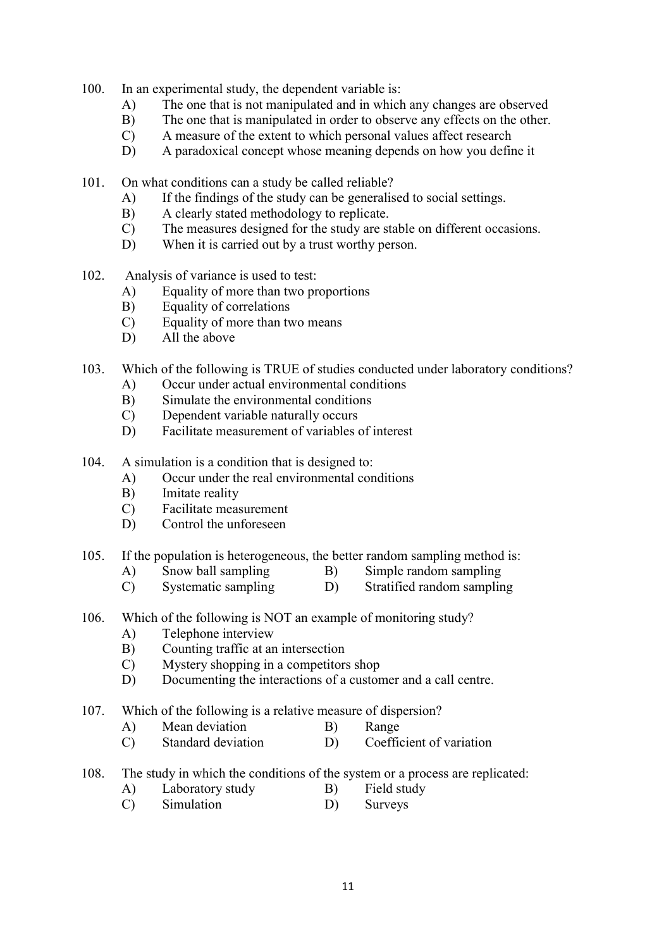- 100. In an experimental study, the dependent variable is:
	- A) The one that is not manipulated and in which any changes are observed
	- B) The one that is manipulated in order to observe any effects on the other.
	- C) A measure of the extent to which personal values affect research
	- D) A paradoxical concept whose meaning depends on how you define it
- 101. On what conditions can a study be called reliable?
	- A) If the findings of the study can be generalised to social settings.
	- B) A clearly stated methodology to replicate.
	- C) The measures designed for the study are stable on different occasions.
	- D) When it is carried out by a trust worthy person.
- 102. Analysis of variance is used to test:
	- A) Equality of more than two proportions
	- B) Equality of correlations
	- C) Equality of more than two means
	- D) All the above
- 103. Which of the following is TRUE of studies conducted under laboratory conditions?
	- A) Occur under actual environmental conditions
	- B) Simulate the environmental conditions
	- C) Dependent variable naturally occurs
	- D) Facilitate measurement of variables of interest
- 104. A simulation is a condition that is designed to:
	- A) Occur under the real environmental conditions
	- B) Imitate reality
	- C) Facilitate measurement
	- D) Control the unforeseen
- 105. If the population is heterogeneous, the better random sampling method is:
	- A) Snow ball sampling B) Simple random sampling
	- C) Systematic sampling D) Stratified random sampling
- 106. Which of the following is NOT an example of monitoring study?
	- A) Telephone interview
	- B) Counting traffic at an intersection
	- C) Mystery shopping in a competitors shop
	- D) Documenting the interactions of a customer and a call centre.
- 107. Which of the following is a relative measure of dispersion?
	- A) Mean deviation B) Range
	- C) Standard deviation D) Coefficient of variation
- 108. The study in which the conditions of the system or a process are replicated:
	- A) Laboratory study B) Field study
	- C) Simulation D) Surveys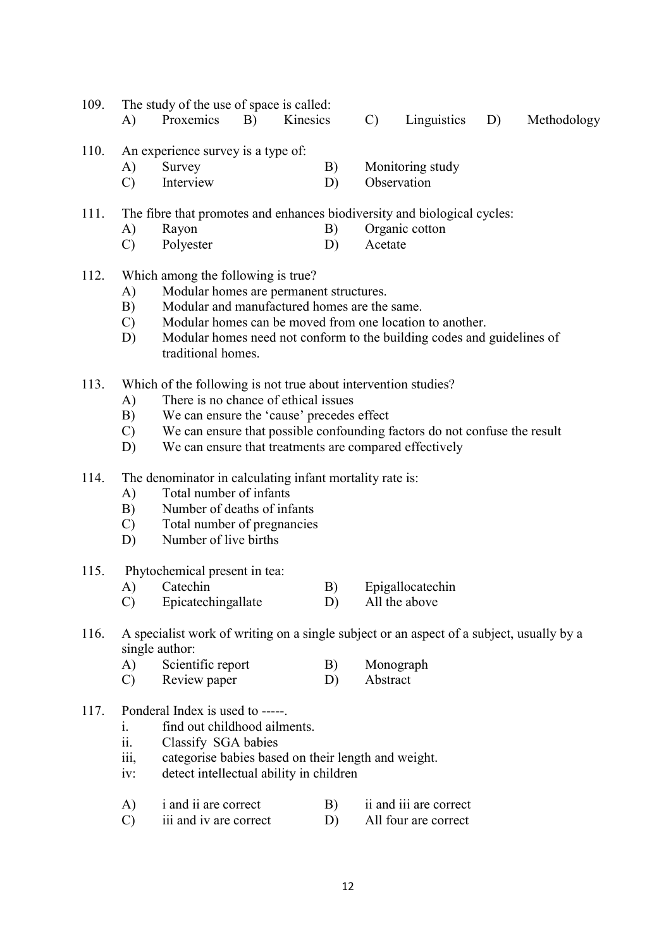|  | 109. The study of the use of space is called: |  |  |                                                        |
|--|-----------------------------------------------|--|--|--------------------------------------------------------|
|  |                                               |  |  | A) Proxemics B) Kinesics C) Linguistics D) Methodology |

| 110. | An experience survey is a type of: |  |
|------|------------------------------------|--|
|      |                                    |  |

- A) Survey B) Monitoring study
- C) Interview D) Observation

111. The fibre that promotes and enhances biodiversity and biological cycles:

- A) Rayon B) Organic cotton
- C) Polyester D) Acetate
- 112. Which among the following is true?
	- A) Modular homes are permanent structures.
	- B) Modular and manufactured homes are the same.
	- C) Modular homes can be moved from one location to another.
	- D) Modular homes need not conform to the building codes and guidelines of traditional homes.
- 113. Which of the following is not true about intervention studies?
	- A) There is no chance of ethical issues
	- B) We can ensure the 'cause' precedes effect
	- C) We can ensure that possible confounding factors do not confuse the result
	- D) We can ensure that treatments are compared effectively
- 114. The denominator in calculating infant mortality rate is:
	- A) Total number of infants
	- B) Number of deaths of infants
	- C) Total number of pregnancies
	- D) Number of live births
- 115. Phytochemical present in tea:
	- A) Catechin B) Epigallocatechin
	- C) Epicatechingallate D) All the above
- 116. A specialist work of writing on a single subject or an aspect of a subject, usually by a single author:
	- A) Scientific report B) Monograph
	- C) Review paper D) Abstract
- 117. Ponderal Index is used to -----.
	- i. find out childhood ailments.
	- ii. Classify SGA babies
	- iii, categorise babies based on their length and weight.
	- iv: detect intellectual ability in children
	- A) i and ii are correct B) ii and iii are correct
	- C) iii and iv are correct D) All four are correct